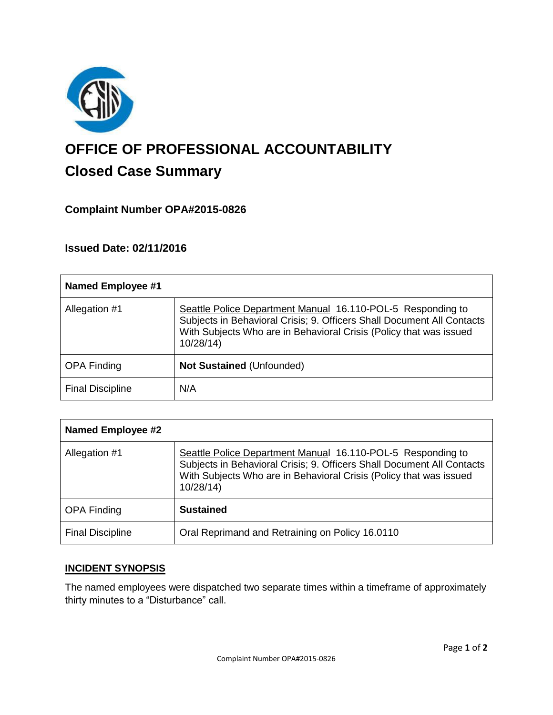

# **OFFICE OF PROFESSIONAL ACCOUNTABILITY Closed Case Summary**

## **Complaint Number OPA#2015-0826**

## **Issued Date: 02/11/2016**

| <b>Named Employee #1</b> |                                                                                                                                                                                                                         |
|--------------------------|-------------------------------------------------------------------------------------------------------------------------------------------------------------------------------------------------------------------------|
| Allegation #1            | Seattle Police Department Manual 16.110-POL-5 Responding to<br>Subjects in Behavioral Crisis; 9. Officers Shall Document All Contacts<br>With Subjects Who are in Behavioral Crisis (Policy that was issued<br>10/28/14 |
| <b>OPA Finding</b>       | <b>Not Sustained (Unfounded)</b>                                                                                                                                                                                        |
| <b>Final Discipline</b>  | N/A                                                                                                                                                                                                                     |

| <b>Named Employee #2</b> |                                                                                                                                                                                                                         |
|--------------------------|-------------------------------------------------------------------------------------------------------------------------------------------------------------------------------------------------------------------------|
| Allegation #1            | Seattle Police Department Manual 16.110-POL-5 Responding to<br>Subjects in Behavioral Crisis; 9. Officers Shall Document All Contacts<br>With Subjects Who are in Behavioral Crisis (Policy that was issued<br>10/28/14 |
| <b>OPA Finding</b>       | <b>Sustained</b>                                                                                                                                                                                                        |
| <b>Final Discipline</b>  | Oral Reprimand and Retraining on Policy 16.0110                                                                                                                                                                         |

## **INCIDENT SYNOPSIS**

The named employees were dispatched two separate times within a timeframe of approximately thirty minutes to a "Disturbance" call.